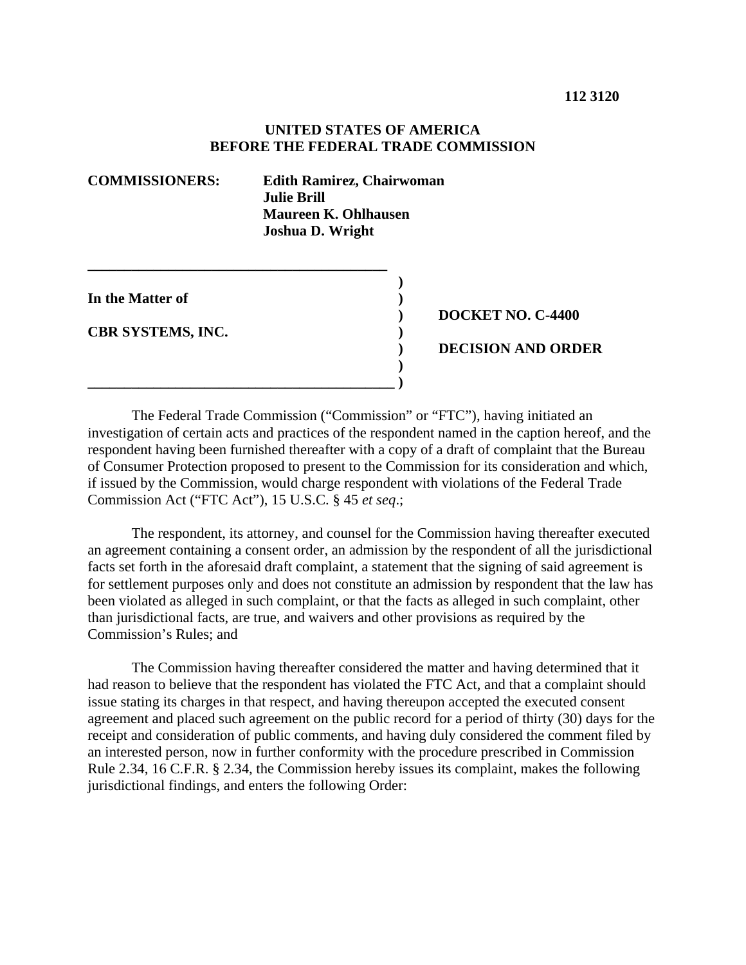## **UNITED STATES OF AMERICA BEFORE THE FEDERAL TRADE COMMISSION**

| <b>COMMISSIONERS:</b>    | <b>Edith Ramirez, Chairwoman</b><br><b>Julie Brill</b><br><b>Maureen K. Ohlhausen</b><br><b>Joshua D. Wright</b> |  |
|--------------------------|------------------------------------------------------------------------------------------------------------------|--|
| In the Matter of         |                                                                                                                  |  |
|                          | DOCKET NO. C-4400                                                                                                |  |
| <b>CBR SYSTEMS, INC.</b> |                                                                                                                  |  |
|                          | <b>DECISION AND ORDER</b>                                                                                        |  |
|                          |                                                                                                                  |  |
|                          |                                                                                                                  |  |

 The Federal Trade Commission ("Commission" or "FTC"), having initiated an investigation of certain acts and practices of the respondent named in the caption hereof, and the respondent having been furnished thereafter with a copy of a draft of complaint that the Bureau of Consumer Protection proposed to present to the Commission for its consideration and which, if issued by the Commission, would charge respondent with violations of the Federal Trade Commission Act ("FTC Act"), 15 U.S.C. § 45 *et seq*.;

 The respondent, its attorney, and counsel for the Commission having thereafter executed an agreement containing a consent order, an admission by the respondent of all the jurisdictional facts set forth in the aforesaid draft complaint, a statement that the signing of said agreement is for settlement purposes only and does not constitute an admission by respondent that the law has been violated as alleged in such complaint, or that the facts as alleged in such complaint, other than jurisdictional facts, are true, and waivers and other provisions as required by the Commission's Rules; and

 The Commission having thereafter considered the matter and having determined that it had reason to believe that the respondent has violated the FTC Act, and that a complaint should issue stating its charges in that respect, and having thereupon accepted the executed consent agreement and placed such agreement on the public record for a period of thirty (30) days for the receipt and consideration of public comments, and having duly considered the comment filed by an interested person, now in further conformity with the procedure prescribed in Commission Rule 2.34, 16 C.F.R. § 2.34, the Commission hereby issues its complaint, makes the following jurisdictional findings, and enters the following Order: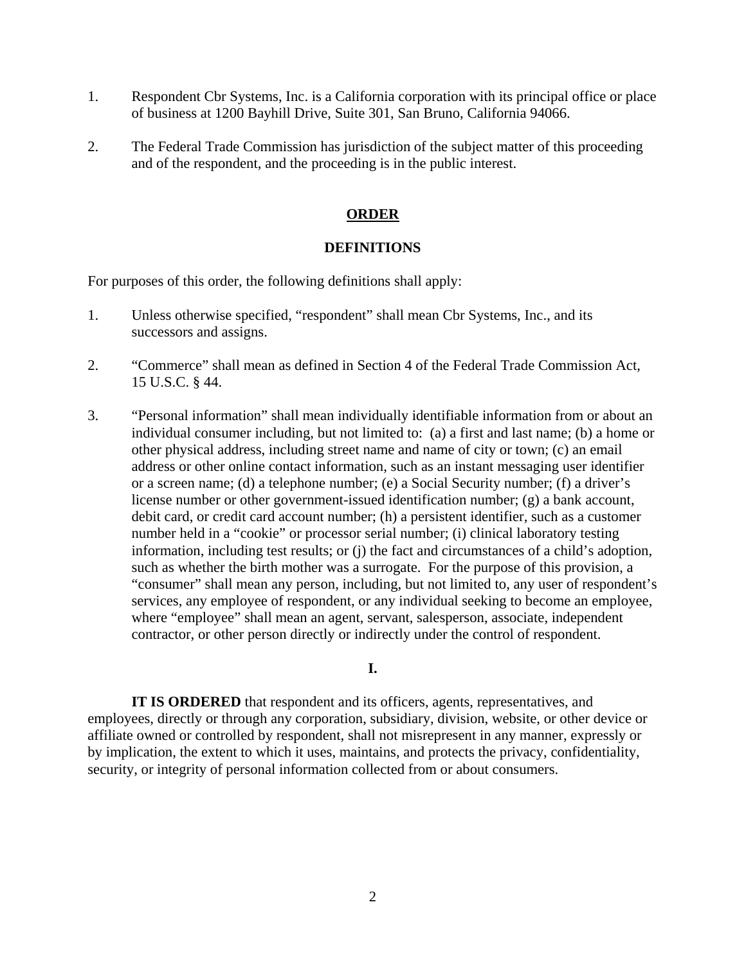- 1. Respondent Cbr Systems, Inc. is a California corporation with its principal office or place of business at 1200 Bayhill Drive, Suite 301, San Bruno, California 94066.
- 2. The Federal Trade Commission has jurisdiction of the subject matter of this proceeding and of the respondent, and the proceeding is in the public interest.

## **ORDER**

## **DEFINITIONS**

For purposes of this order, the following definitions shall apply:

- 1. Unless otherwise specified, "respondent" shall mean Cbr Systems, Inc., and its successors and assigns.
- 2. "Commerce" shall mean as defined in Section 4 of the Federal Trade Commission Act, 15 U.S.C. § 44.
- 3. "Personal information" shall mean individually identifiable information from or about an individual consumer including, but not limited to: (a) a first and last name; (b) a home or other physical address, including street name and name of city or town; (c) an email address or other online contact information, such as an instant messaging user identifier or a screen name; (d) a telephone number; (e) a Social Security number; (f) a driver's license number or other government-issued identification number; (g) a bank account, debit card, or credit card account number; (h) a persistent identifier, such as a customer number held in a "cookie" or processor serial number; (i) clinical laboratory testing information, including test results; or (j) the fact and circumstances of a child's adoption, such as whether the birth mother was a surrogate. For the purpose of this provision, a "consumer" shall mean any person, including, but not limited to, any user of respondent's services, any employee of respondent, or any individual seeking to become an employee, where "employee" shall mean an agent, servant, salesperson, associate, independent contractor, or other person directly or indirectly under the control of respondent.

## **I.**

**IT IS ORDERED** that respondent and its officers, agents, representatives, and employees, directly or through any corporation, subsidiary, division, website, or other device or affiliate owned or controlled by respondent, shall not misrepresent in any manner, expressly or by implication, the extent to which it uses, maintains, and protects the privacy, confidentiality, security, or integrity of personal information collected from or about consumers.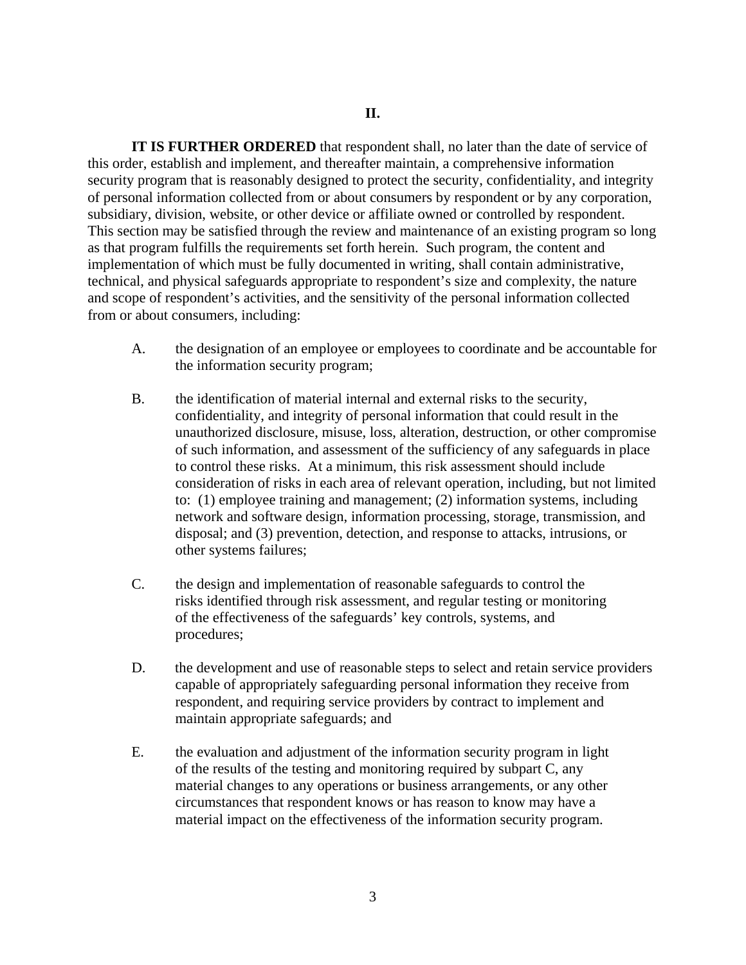**IT IS FURTHER ORDERED** that respondent shall, no later than the date of service of this order, establish and implement, and thereafter maintain, a comprehensive information security program that is reasonably designed to protect the security, confidentiality, and integrity of personal information collected from or about consumers by respondent or by any corporation, subsidiary, division, website, or other device or affiliate owned or controlled by respondent. This section may be satisfied through the review and maintenance of an existing program so long as that program fulfills the requirements set forth herein. Such program, the content and implementation of which must be fully documented in writing, shall contain administrative, technical, and physical safeguards appropriate to respondent's size and complexity, the nature and scope of respondent's activities, and the sensitivity of the personal information collected from or about consumers, including:

- A. the designation of an employee or employees to coordinate and be accountable for the information security program;
- B. the identification of material internal and external risks to the security, confidentiality, and integrity of personal information that could result in the unauthorized disclosure, misuse, loss, alteration, destruction, or other compromise of such information, and assessment of the sufficiency of any safeguards in place to control these risks. At a minimum, this risk assessment should include consideration of risks in each area of relevant operation, including, but not limited to: (1) employee training and management; (2) information systems, including network and software design, information processing, storage, transmission, and disposal; and (3) prevention, detection, and response to attacks, intrusions, or other systems failures;
- C. the design and implementation of reasonable safeguards to control the risks identified through risk assessment, and regular testing or monitoring of the effectiveness of the safeguards' key controls, systems, and procedures;
- D. the development and use of reasonable steps to select and retain service providers capable of appropriately safeguarding personal information they receive from respondent, and requiring service providers by contract to implement and maintain appropriate safeguards; and
- E. the evaluation and adjustment of the information security program in light of the results of the testing and monitoring required by subpart C, any material changes to any operations or business arrangements, or any other circumstances that respondent knows or has reason to know may have a material impact on the effectiveness of the information security program.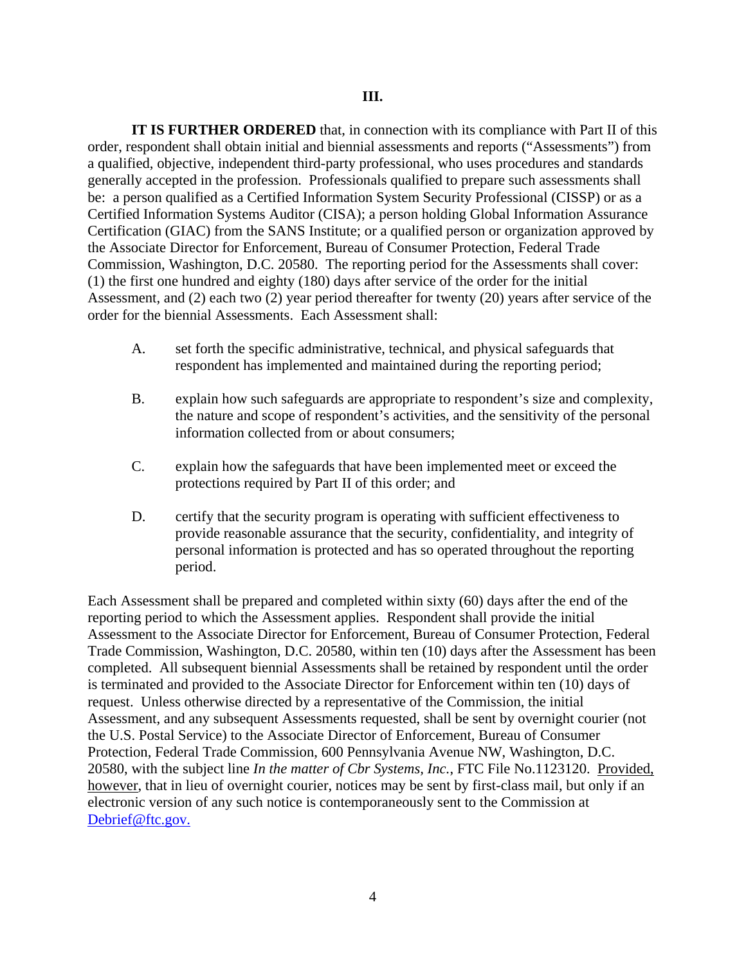**IT IS FURTHER ORDERED** that, in connection with its compliance with Part II of this order, respondent shall obtain initial and biennial assessments and reports ("Assessments") from a qualified, objective, independent third-party professional, who uses procedures and standards generally accepted in the profession. Professionals qualified to prepare such assessments shall be: a person qualified as a Certified Information System Security Professional (CISSP) or as a Certified Information Systems Auditor (CISA); a person holding Global Information Assurance Certification (GIAC) from the SANS Institute; or a qualified person or organization approved by the Associate Director for Enforcement, Bureau of Consumer Protection, Federal Trade Commission, Washington, D.C. 20580. The reporting period for the Assessments shall cover: (1) the first one hundred and eighty (180) days after service of the order for the initial Assessment, and (2) each two (2) year period thereafter for twenty (20) years after service of the order for the biennial Assessments. Each Assessment shall:

- A. set forth the specific administrative, technical, and physical safeguards that respondent has implemented and maintained during the reporting period;
- B. explain how such safeguards are appropriate to respondent's size and complexity, the nature and scope of respondent's activities, and the sensitivity of the personal information collected from or about consumers;
- C. explain how the safeguards that have been implemented meet or exceed the protections required by Part II of this order; and
- D. certify that the security program is operating with sufficient effectiveness to provide reasonable assurance that the security, confidentiality, and integrity of personal information is protected and has so operated throughout the reporting period.

Each Assessment shall be prepared and completed within sixty (60) days after the end of the reporting period to which the Assessment applies. Respondent shall provide the initial Assessment to the Associate Director for Enforcement, Bureau of Consumer Protection, Federal Trade Commission, Washington, D.C. 20580, within ten (10) days after the Assessment has been completed. All subsequent biennial Assessments shall be retained by respondent until the order is terminated and provided to the Associate Director for Enforcement within ten (10) days of request. Unless otherwise directed by a representative of the Commission, the initial Assessment, and any subsequent Assessments requested, shall be sent by overnight courier (not the U.S. Postal Service) to the Associate Director of Enforcement, Bureau of Consumer Protection, Federal Trade Commission, 600 Pennsylvania Avenue NW, Washington, D.C. 20580, with the subject line *In the matter of Cbr Systems, Inc.*, FTC File No.1123120. Provided, however, that in lieu of overnight courier, notices may be sent by first-class mail, but only if an electronic version of any such notice is contemporaneously sent to the Commission at Debrief@ftc.gov.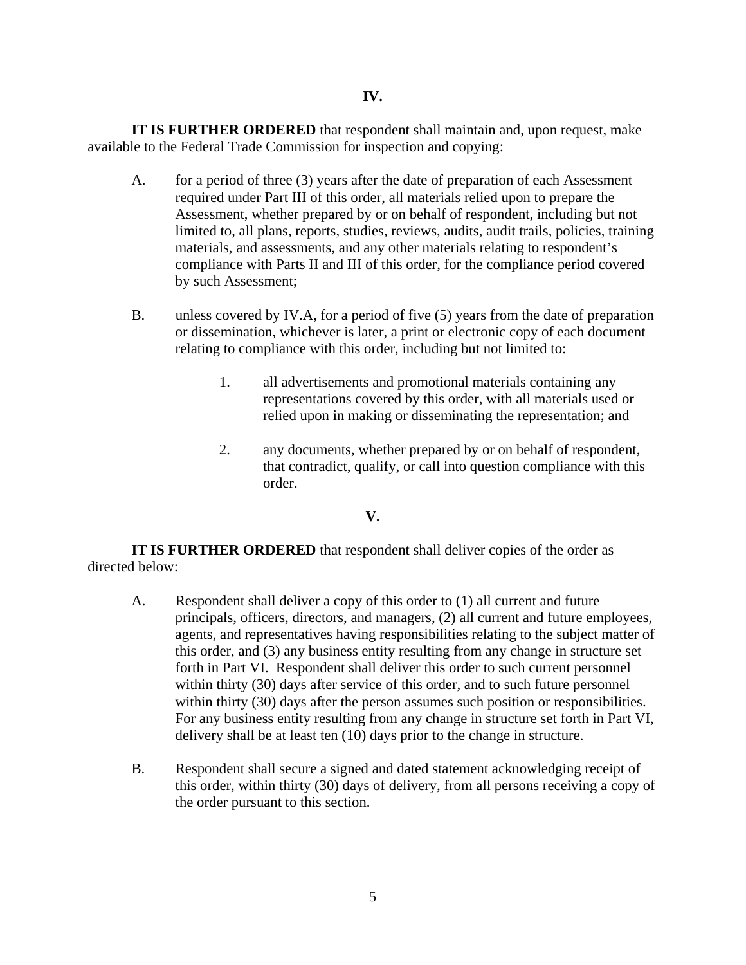# **IV.**

**IT IS FURTHER ORDERED** that respondent shall maintain and, upon request, make available to the Federal Trade Commission for inspection and copying:

- A. for a period of three (3) years after the date of preparation of each Assessment required under Part III of this order, all materials relied upon to prepare the Assessment, whether prepared by or on behalf of respondent, including but not limited to, all plans, reports, studies, reviews, audits, audit trails, policies, training materials, and assessments, and any other materials relating to respondent's compliance with Parts II and III of this order, for the compliance period covered by such Assessment;
- B. unless covered by IV.A, for a period of five (5) years from the date of preparation or dissemination, whichever is later, a print or electronic copy of each document relating to compliance with this order, including but not limited to:
	- 1. all advertisements and promotional materials containing any representations covered by this order, with all materials used or relied upon in making or disseminating the representation; and
	- 2. any documents, whether prepared by or on behalf of respondent, that contradict, qualify, or call into question compliance with this order.

## **V.**

**IT IS FURTHER ORDERED** that respondent shall deliver copies of the order as directed below:

- A. Respondent shall deliver a copy of this order to (1) all current and future principals, officers, directors, and managers, (2) all current and future employees, agents, and representatives having responsibilities relating to the subject matter of this order, and (3) any business entity resulting from any change in structure set forth in Part VI. Respondent shall deliver this order to such current personnel within thirty (30) days after service of this order, and to such future personnel within thirty (30) days after the person assumes such position or responsibilities. For any business entity resulting from any change in structure set forth in Part VI, delivery shall be at least ten (10) days prior to the change in structure.
- B. Respondent shall secure a signed and dated statement acknowledging receipt of this order, within thirty (30) days of delivery, from all persons receiving a copy of the order pursuant to this section.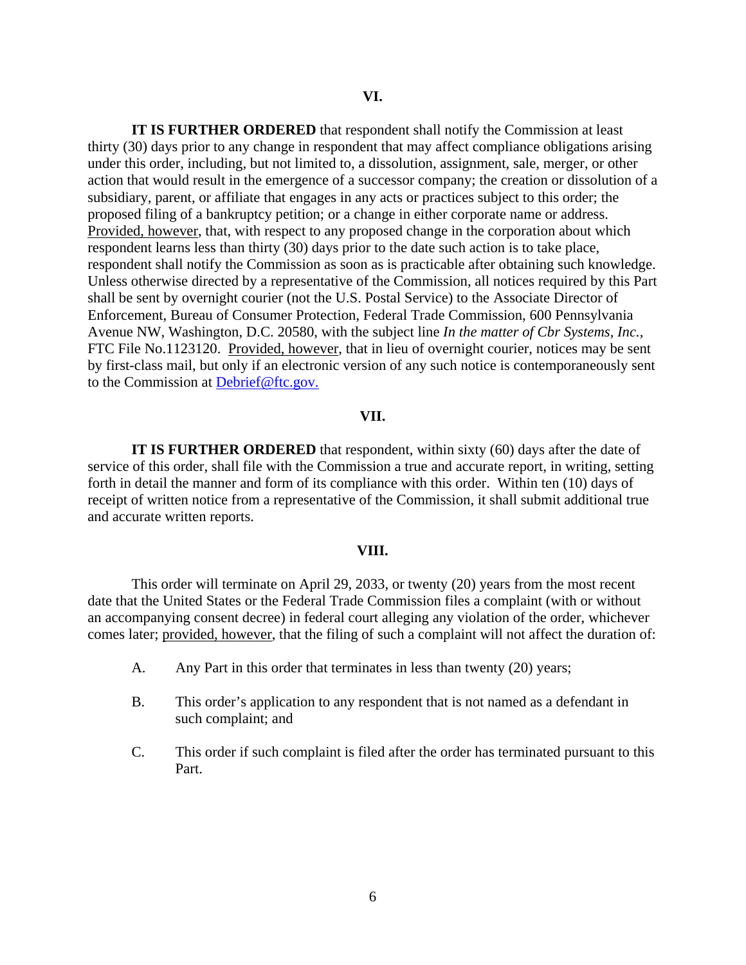**IT IS FURTHER ORDERED** that respondent shall notify the Commission at least thirty (30) days prior to any change in respondent that may affect compliance obligations arising under this order, including, but not limited to, a dissolution, assignment, sale, merger, or other action that would result in the emergence of a successor company; the creation or dissolution of a subsidiary, parent, or affiliate that engages in any acts or practices subject to this order; the proposed filing of a bankruptcy petition; or a change in either corporate name or address. Provided, however, that, with respect to any proposed change in the corporation about which respondent learns less than thirty (30) days prior to the date such action is to take place, respondent shall notify the Commission as soon as is practicable after obtaining such knowledge. Unless otherwise directed by a representative of the Commission, all notices required by this Part shall be sent by overnight courier (not the U.S. Postal Service) to the Associate Director of Enforcement, Bureau of Consumer Protection, Federal Trade Commission, 600 Pennsylvania Avenue NW, Washington, D.C. 20580, with the subject line *In the matter of Cbr Systems, Inc.*, FTC File No.1123120. Provided, however, that in lieu of overnight courier, notices may be sent by first-class mail, but only if an electronic version of any such notice is contemporaneously sent to the Commission at Debrief@ftc.gov.

#### **VII.**

**IT IS FURTHER ORDERED** that respondent, within sixty (60) days after the date of service of this order, shall file with the Commission a true and accurate report, in writing, setting forth in detail the manner and form of its compliance with this order. Within ten (10) days of receipt of written notice from a representative of the Commission, it shall submit additional true and accurate written reports.

#### **VIII.**

 This order will terminate on April 29, 2033, or twenty (20) years from the most recent date that the United States or the Federal Trade Commission files a complaint (with or without an accompanying consent decree) in federal court alleging any violation of the order, whichever comes later; provided, however, that the filing of such a complaint will not affect the duration of:

- A. Any Part in this order that terminates in less than twenty (20) years;
- B. This order's application to any respondent that is not named as a defendant in such complaint; and
- C. This order if such complaint is filed after the order has terminated pursuant to this Part.